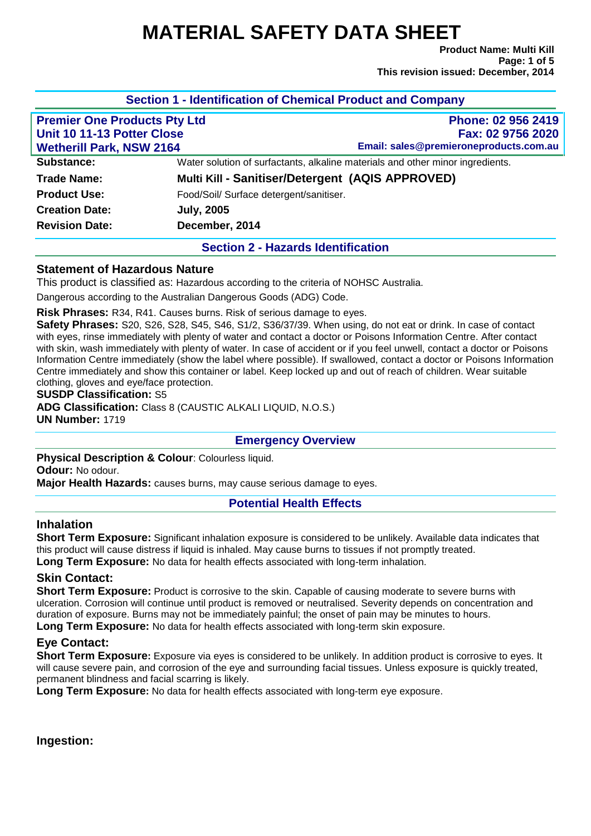# **MATERIAL SAFETY DATA SHEET**

**Product Name: Multi Kill Page: 1 of 5 This revision issued: December, 2014**

| <b>Premier One Products Pty Ltd</b> |                                         | Phone: 02 956 2419                                                             |  |  |
|-------------------------------------|-----------------------------------------|--------------------------------------------------------------------------------|--|--|
| Unit 10 11-13 Potter Close          |                                         | Fax: 02 9756 2020                                                              |  |  |
| <b>Wetherill Park, NSW 2164</b>     |                                         | Email: sales@premieroneproducts.com.au                                         |  |  |
| Substance:                          |                                         | Water solution of surfactants, alkaline materials and other minor ingredients. |  |  |
| Trade Name:                         |                                         | Multi Kill - Sanitiser/Detergent (AQIS APPROVED)                               |  |  |
| <b>Product Use:</b>                 | Food/Soil/ Surface detergent/sanitiser. |                                                                                |  |  |
| <b>Creation Date:</b>               | <b>July, 2005</b>                       |                                                                                |  |  |
| <b>Revision Date:</b>               | December, 2014                          |                                                                                |  |  |

# **Statement of Hazardous Nature**

This product is classified as: Hazardous according to the criteria of NOHSC Australia.

Dangerous according to the Australian Dangerous Goods (ADG) Code.

**Risk Phrases:** R34, R41. Causes burns. Risk of serious damage to eyes.

**Safety Phrases:** S20, S26, S28, S45, S46, S1/2, S36/37/39. When using, do not eat or drink. In case of contact with eyes, rinse immediately with plenty of water and contact a doctor or Poisons Information Centre. After contact with skin, wash immediately with plenty of water. In case of accident or if you feel unwell, contact a doctor or Poisons Information Centre immediately (show the label where possible). If swallowed, contact a doctor or Poisons Information Centre immediately and show this container or label. Keep locked up and out of reach of children. Wear suitable clothing, gloves and eye/face protection.

**SUSDP Classification:** S5

**ADG Classification:** Class 8 (CAUSTIC ALKALI LIQUID, N.O.S.) **UN Number:** 1719

### **Emergency Overview**

**Physical Description & Colour**: Colourless liquid. **Odour:** No odour. **Major Health Hazards:** causes burns, may cause serious damage to eyes.

# **Potential Health Effects**

# **Inhalation**

**Short Term Exposure:** Significant inhalation exposure is considered to be unlikely. Available data indicates that this product will cause distress if liquid is inhaled. May cause burns to tissues if not promptly treated.

**Long Term Exposure:** No data for health effects associated with long-term inhalation.

# **Skin Contact:**

**Short Term Exposure:** Product is corrosive to the skin. Capable of causing moderate to severe burns with ulceration. Corrosion will continue until product is removed or neutralised. Severity depends on concentration and duration of exposure. Burns may not be immediately painful; the onset of pain may be minutes to hours.

**Long Term Exposure:** No data for health effects associated with long-term skin exposure.

# **Eye Contact:**

**Short Term Exposure**: Exposure via eyes is considered to be unlikely. In addition product is corrosive to eyes. It will cause severe pain, and corrosion of the eye and surrounding facial tissues. Unless exposure is quickly treated, permanent blindness and facial scarring is likely.

**Long Term Exposure:** No data for health effects associated with long-term eye exposure.

**Ingestion:**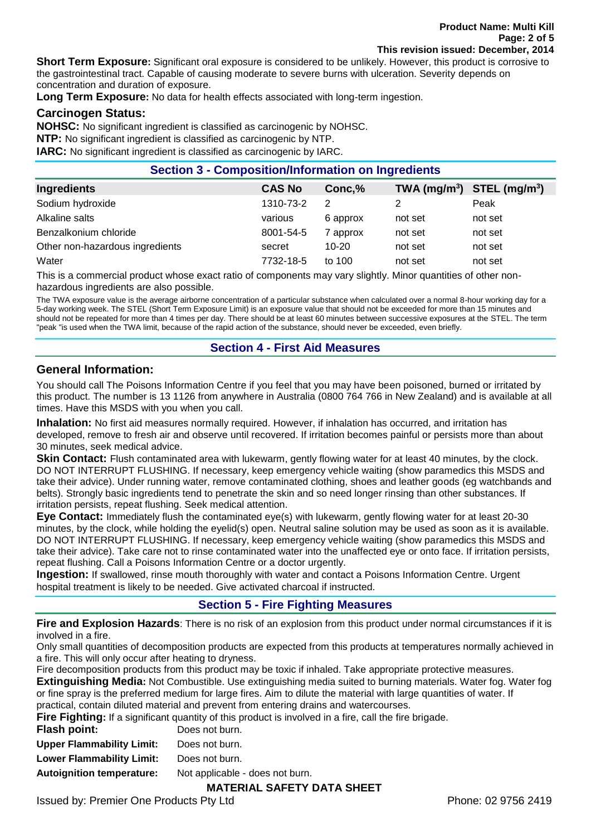**Short Term Exposure:** Significant oral exposure is considered to be unlikely. However, this product is corrosive to the gastrointestinal tract. Capable of causing moderate to severe burns with ulceration. Severity depends on concentration and duration of exposure.

**Long Term Exposure:** No data for health effects associated with long-term ingestion.

## **Carcinogen Status:**

**NOHSC:** No significant ingredient is classified as carcinogenic by NOHSC.

**NTP:** No significant ingredient is classified as carcinogenic by NTP.

**IARC:** No significant ingredient is classified as carcinogenic by IARC.

| <b>Section 3 - Composition/Information on Ingredients</b> |               |           |                                |         |
|-----------------------------------------------------------|---------------|-----------|--------------------------------|---------|
| <b>Ingredients</b>                                        | <b>CAS No</b> | Conc,%    | TWA $(mg/m^3)$ STEL $(mg/m^3)$ |         |
| Sodium hydroxide                                          | 1310-73-2     | 2         |                                | Peak    |
| Alkaline salts                                            | various       | 6 approx  | not set                        | not set |
| Benzalkonium chloride                                     | 8001-54-5     | 7 approx  | not set                        | not set |
| Other non-hazardous ingredients                           | secret        | $10 - 20$ | not set                        | not set |
| Water                                                     | 7732-18-5     | to 100    | not set                        | not set |

This is a commercial product whose exact ratio of components may vary slightly. Minor quantities of other nonhazardous ingredients are also possible.

The TWA exposure value is the average airborne concentration of a particular substance when calculated over a normal 8-hour working day for a 5-day working week. The STEL (Short Term Exposure Limit) is an exposure value that should not be exceeded for more than 15 minutes and should not be repeated for more than 4 times per day. There should be at least 60 minutes between successive exposures at the STEL. The term "peak "is used when the TWA limit, because of the rapid action of the substance, should never be exceeded, even briefly.

# **Section 4 - First Aid Measures**

# **General Information:**

You should call The Poisons Information Centre if you feel that you may have been poisoned, burned or irritated by this product. The number is 13 1126 from anywhere in Australia (0800 764 766 in New Zealand) and is available at all times. Have this MSDS with you when you call.

**Inhalation:** No first aid measures normally required. However, if inhalation has occurred, and irritation has developed, remove to fresh air and observe until recovered. If irritation becomes painful or persists more than about 30 minutes, seek medical advice.

**Skin Contact:** Flush contaminated area with lukewarm, gently flowing water for at least 40 minutes, by the clock. DO NOT INTERRUPT FLUSHING. If necessary, keep emergency vehicle waiting (show paramedics this MSDS and take their advice). Under running water, remove contaminated clothing, shoes and leather goods (eg watchbands and belts). Strongly basic ingredients tend to penetrate the skin and so need longer rinsing than other substances. If irritation persists, repeat flushing. Seek medical attention.

**Eye Contact:** Immediately flush the contaminated eye(s) with lukewarm, gently flowing water for at least 20-30 minutes, by the clock, while holding the eyelid(s) open. Neutral saline solution may be used as soon as it is available. DO NOT INTERRUPT FLUSHING. If necessary, keep emergency vehicle waiting (show paramedics this MSDS and take their advice). Take care not to rinse contaminated water into the unaffected eye or onto face. If irritation persists, repeat flushing. Call a Poisons Information Centre or a doctor urgently.

**Ingestion:** If swallowed, rinse mouth thoroughly with water and contact a Poisons Information Centre. Urgent hospital treatment is likely to be needed. Give activated charcoal if instructed.

# **Section 5 - Fire Fighting Measures**

**Fire and Explosion Hazards**: There is no risk of an explosion from this product under normal circumstances if it is involved in a fire.

Only small quantities of decomposition products are expected from this products at temperatures normally achieved in a fire. This will only occur after heating to dryness.

Fire decomposition products from this product may be toxic if inhaled. Take appropriate protective measures.

**Extinguishing Media:** Not Combustible. Use extinguishing media suited to burning materials. Water fog. Water fog or fine spray is the preferred medium for large fires. Aim to dilute the material with large quantities of water. If practical, contain diluted material and prevent from entering drains and watercourses.

**Fire Fighting:** If a significant quantity of this product is involved in a fire, call the fire brigade.

| Does not burn.                  |
|---------------------------------|
| Does not burn.                  |
| Does not burn.                  |
| Not applicable - does not burn. |
|                                 |

# **MATERIAL SAFETY DATA SHEET**

Issued by: Premier One Products Pty Ltd **Phone: 02 9756 2419** Phone: 02 9756 2419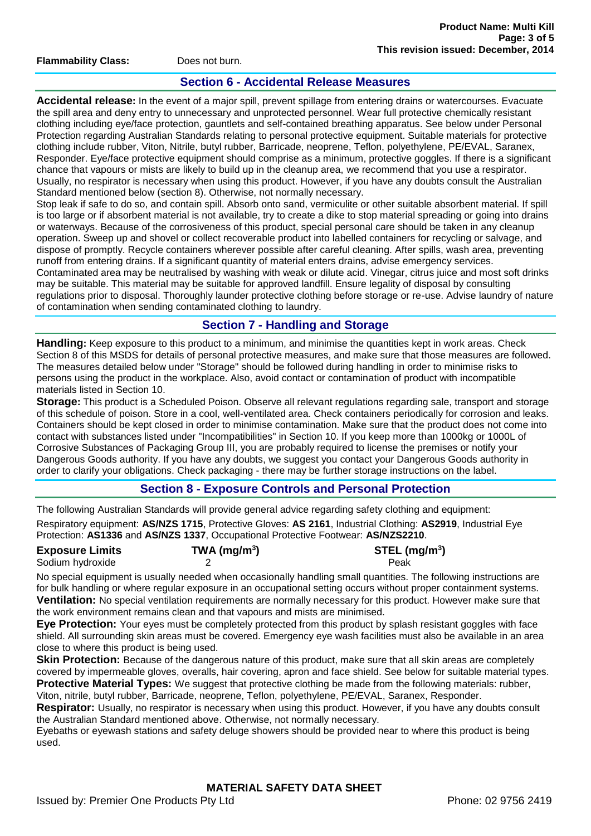**Flammability Class:** Does not burn.

# **Section 6 - Accidental Release Measures**

**Accidental release:** In the event of a major spill, prevent spillage from entering drains or watercourses. Evacuate the spill area and deny entry to unnecessary and unprotected personnel. Wear full protective chemically resistant clothing including eye/face protection, gauntlets and self-contained breathing apparatus. See below under Personal Protection regarding Australian Standards relating to personal protective equipment. Suitable materials for protective clothing include rubber, Viton, Nitrile, butyl rubber, Barricade, neoprene, Teflon, polyethylene, PE/EVAL, Saranex, Responder. Eye/face protective equipment should comprise as a minimum, protective goggles. If there is a significant chance that vapours or mists are likely to build up in the cleanup area, we recommend that you use a respirator. Usually, no respirator is necessary when using this product. However, if you have any doubts consult the Australian Standard mentioned below (section 8). Otherwise, not normally necessary.

Stop leak if safe to do so, and contain spill. Absorb onto sand, vermiculite or other suitable absorbent material. If spill is too large or if absorbent material is not available, try to create a dike to stop material spreading or going into drains or waterways. Because of the corrosiveness of this product, special personal care should be taken in any cleanup operation. Sweep up and shovel or collect recoverable product into labelled containers for recycling or salvage, and dispose of promptly. Recycle containers wherever possible after careful cleaning. After spills, wash area, preventing runoff from entering drains. If a significant quantity of material enters drains, advise emergency services. Contaminated area may be neutralised by washing with weak or dilute acid. Vinegar, citrus juice and most soft drinks may be suitable. This material may be suitable for approved landfill. Ensure legality of disposal by consulting regulations prior to disposal. Thoroughly launder protective clothing before storage or re-use. Advise laundry of nature of contamination when sending contaminated clothing to laundry.

# **Section 7 - Handling and Storage**

**Handling:** Keep exposure to this product to a minimum, and minimise the quantities kept in work areas. Check Section 8 of this MSDS for details of personal protective measures, and make sure that those measures are followed. The measures detailed below under "Storage" should be followed during handling in order to minimise risks to persons using the product in the workplace. Also, avoid contact or contamination of product with incompatible materials listed in Section 10.

**Storage:** This product is a Scheduled Poison. Observe all relevant regulations regarding sale, transport and storage of this schedule of poison. Store in a cool, well-ventilated area. Check containers periodically for corrosion and leaks. Containers should be kept closed in order to minimise contamination. Make sure that the product does not come into contact with substances listed under "Incompatibilities" in Section 10. If you keep more than 1000kg or 1000L of Corrosive Substances of Packaging Group III, you are probably required to license the premises or notify your Dangerous Goods authority. If you have any doubts, we suggest you contact your Dangerous Goods authority in order to clarify your obligations. Check packaging - there may be further storage instructions on the label.

# **Section 8 - Exposure Controls and Personal Protection**

The following Australian Standards will provide general advice regarding safety clothing and equipment:

Respiratory equipment: **AS/NZS 1715**, Protective Gloves: **AS 2161**, Industrial Clothing: **AS2919**, Industrial Eye Protection: **AS1336** and **AS/NZS 1337**, Occupational Protective Footwear: **AS/NZS2210**.

| <b>Exposure Limits</b> | TWA (mg/m <sup>3</sup> ) | $STEL$ (mg/m <sup>3</sup> ) |
|------------------------|--------------------------|-----------------------------|
| Sodium hydroxide       |                          | Peak                        |

No special equipment is usually needed when occasionally handling small quantities. The following instructions are for bulk handling or where regular exposure in an occupational setting occurs without proper containment systems. **Ventilation:** No special ventilation requirements are normally necessary for this product. However make sure that the work environment remains clean and that vapours and mists are minimised.

**Eye Protection:** Your eyes must be completely protected from this product by splash resistant goggles with face shield. All surrounding skin areas must be covered. Emergency eye wash facilities must also be available in an area close to where this product is being used.

**Skin Protection:** Because of the dangerous nature of this product, make sure that all skin areas are completely covered by impermeable gloves, overalls, hair covering, apron and face shield. See below for suitable material types. **Protective Material Types:** We suggest that protective clothing be made from the following materials: rubber, Viton, nitrile, butyl rubber, Barricade, neoprene, Teflon, polyethylene, PE/EVAL, Saranex, Responder.

**Respirator:** Usually, no respirator is necessary when using this product. However, if you have any doubts consult the Australian Standard mentioned above. Otherwise, not normally necessary.

Eyebaths or eyewash stations and safety deluge showers should be provided near to where this product is being used.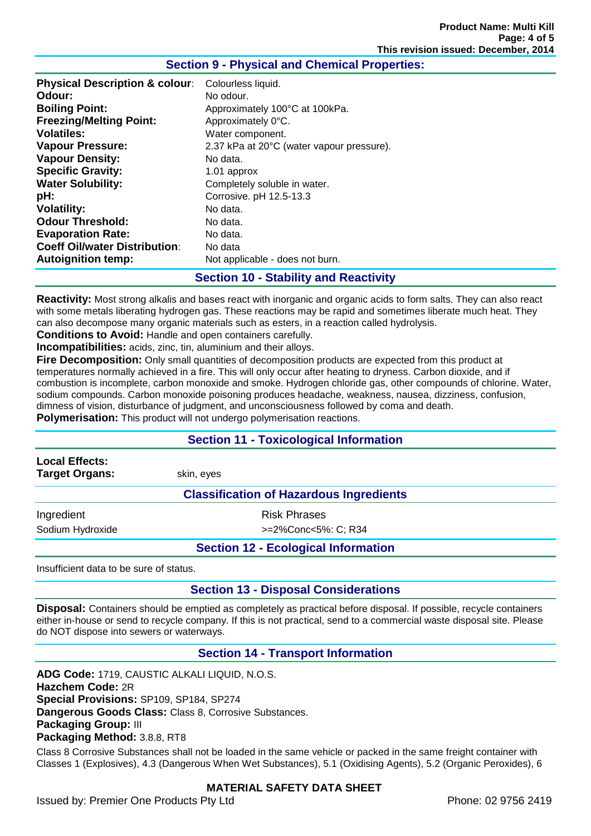## **Section 9 - Physical and Chemical Properties:**

| Odour:<br>No odour.<br><b>Boiling Point:</b><br>Approximately 100°C at 100kPa.<br><b>Freezing/Melting Point:</b><br>Approximately 0°C.<br><b>Volatiles:</b><br>Water component. | <b>Physical Description &amp; colour:</b> | Colourless liquid.                        |
|---------------------------------------------------------------------------------------------------------------------------------------------------------------------------------|-------------------------------------------|-------------------------------------------|
|                                                                                                                                                                                 |                                           |                                           |
|                                                                                                                                                                                 |                                           |                                           |
|                                                                                                                                                                                 |                                           |                                           |
|                                                                                                                                                                                 |                                           |                                           |
|                                                                                                                                                                                 | <b>Vapour Pressure:</b>                   | 2.37 kPa at 20°C (water vapour pressure). |
| <b>Vapour Density:</b><br>No data.                                                                                                                                              |                                           |                                           |
| <b>Specific Gravity:</b><br>1.01 approx                                                                                                                                         |                                           |                                           |
| <b>Water Solubility:</b><br>Completely soluble in water.                                                                                                                        |                                           |                                           |
| pH:<br>Corrosive. pH 12.5-13.3                                                                                                                                                  |                                           |                                           |
| <b>Volatility:</b><br>No data.                                                                                                                                                  |                                           |                                           |
| <b>Odour Threshold:</b><br>No data.                                                                                                                                             |                                           |                                           |
| <b>Evaporation Rate:</b><br>No data.                                                                                                                                            |                                           |                                           |
| <b>Coeff Oil/water Distribution:</b><br>No data                                                                                                                                 |                                           |                                           |
| <b>Autoignition temp:</b><br>Not applicable - does not burn.                                                                                                                    |                                           |                                           |

#### **Section 10 - Stability and Reactivity**

**Reactivity:** Most strong alkalis and bases react with inorganic and organic acids to form salts. They can also react with some metals liberating hydrogen gas. These reactions may be rapid and sometimes liberate much heat. They can also decompose many organic materials such as esters, in a reaction called hydrolysis.

**Conditions to Avoid:** Handle and open containers carefully.

**Incompatibilities:** acids, zinc, tin, aluminium and their alloys.

**Fire Decomposition:** Only small quantities of decomposition products are expected from this product at temperatures normally achieved in a fire. This will only occur after heating to dryness. Carbon dioxide, and if combustion is incomplete, carbon monoxide and smoke. Hydrogen chloride gas, other compounds of chlorine. Water, sodium compounds. Carbon monoxide poisoning produces headache, weakness, nausea, dizziness, confusion, dimness of vision, disturbance of judgment, and unconsciousness followed by coma and death.

**Polymerisation:** This product will not undergo polymerisation reactions.

### **Section 11 - Toxicological Information**

**Local Effects:** 

**Target Organs:** skin, eyes

**Classification of Hazardous Ingredients**

Ingredient **Risk Phrases** 

Sodium Hydroxide  $>=2\%$ Conc<5%: C; R34

# **Section 12 - Ecological Information**

Insufficient data to be sure of status.

# **Section 13 - Disposal Considerations**

**Disposal:** Containers should be emptied as completely as practical before disposal. If possible, recycle containers either in-house or send to recycle company. If this is not practical, send to a commercial waste disposal site. Please do NOT dispose into sewers or waterways.

# **Section 14 - Transport Information**

**ADG Code:** 1719, CAUSTIC ALKALI LIQUID, N.O.S. **Hazchem Code:** 2R **Special Provisions:** SP109, SP184, SP274 **Dangerous Goods Class:** Class 8, Corrosive Substances. **Packaging Group:** III **Packaging Method:** 3.8.8, RT8

Class 8 Corrosive Substances shall not be loaded in the same vehicle or packed in the same freight container with Classes 1 (Explosives), 4.3 (Dangerous When Wet Substances), 5.1 (Oxidising Agents), 5.2 (Organic Peroxides), 6

### **MATERIAL SAFETY DATA SHEET**